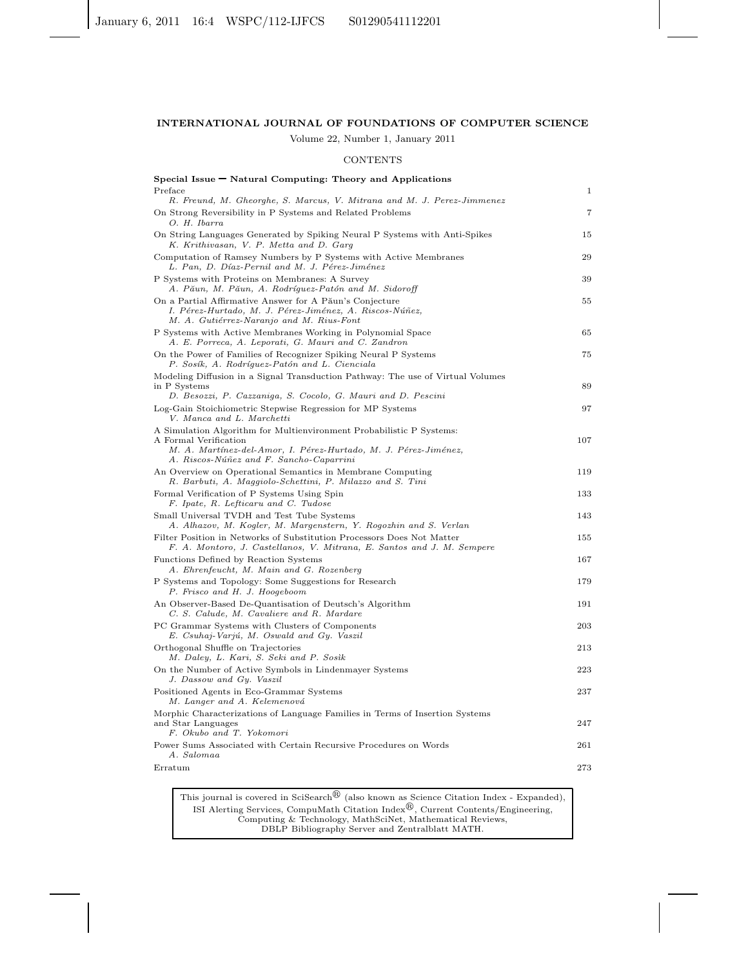## INTERNATIONAL JOURNAL OF FOUNDATIONS OF COMPUTER SCIENCE

Volume 22, Number 1, January 2011

#### **CONTENTS**

| $S$ pecial Issue $\blacksquare$ Natural Computing: Theory and Applications                                                                                                                                  |     |
|-------------------------------------------------------------------------------------------------------------------------------------------------------------------------------------------------------------|-----|
| Preface<br>R. Freund, M. Gheorghe, S. Marcus, V. Mitrana and M. J. Perez-Jimmenez                                                                                                                           | 1   |
| On Strong Reversibility in P Systems and Related Problems<br>O. H. Ibarra                                                                                                                                   | 7   |
| On String Languages Generated by Spiking Neural P Systems with Anti-Spikes<br>K. Krithivasan, V. P. Metta and D. Garg                                                                                       | 15  |
| Computation of Ramsey Numbers by P Systems with Active Membranes<br>L. Pan, D. Díaz-Pernil and M. J. Pérez-Jiménez                                                                                          | 29  |
| P Systems with Proteins on Membranes: A Survey<br>A. Păun, M. Păun, A. Rodríguez-Patón and M. Sidoroff                                                                                                      | 39  |
| On a Partial Affirmative Answer for A Păun's Conjecture<br>I. Pérez-Hurtado, M. J. Pérez-Jiménez, A. Riscos-Núñez,<br>M. A. Gutiérrez-Naranjo and M. Rius-Font                                              | 55  |
| P Systems with Active Membranes Working in Polynomial Space<br>A. E. Porreca, A. Leporati, G. Mauri and C. Zandron                                                                                          | 65  |
| On the Power of Families of Recognizer Spiking Neural P Systems<br>P. Sosík, A. Rodríguez-Patón and L. Cienciala                                                                                            | 75  |
| Modeling Diffusion in a Signal Transduction Pathway: The use of Virtual Volumes<br>in P Systems<br>D. Besozzi, P. Cazzaniga, S. Cocolo, G. Mauri and D. Pescini                                             | 89  |
| Log-Gain Stoichiometric Stepwise Regression for MP Systems<br>V. Manca and L. Marchetti                                                                                                                     | 97  |
| A Simulation Algorithm for Multienvironment Probabilistic P Systems:<br>A Formal Verification<br>M. A. Martínez-del-Amor, I. Pérez-Hurtado, M. J. Pérez-Jiménez,<br>A. Riscos-Núñez and F. Sancho-Caparrini | 107 |
| An Overview on Operational Semantics in Membrane Computing<br>R. Barbuti, A. Maggiolo-Schettini, P. Milazzo and S. Tini                                                                                     | 119 |
| Formal Verification of P Systems Using Spin<br>F. Ipate, R. Lefticaru and C. Tudose                                                                                                                         | 133 |
| Small Universal TVDH and Test Tube Systems<br>A. Alhazov, M. Kogler, M. Margenstern, Y. Rogozhin and S. Verlan                                                                                              | 143 |
| Filter Position in Networks of Substitution Processors Does Not Matter<br>F. A. Montoro, J. Castellanos, V. Mitrana, E. Santos and J. M. Sempere                                                            | 155 |
| Functions Defined by Reaction Systems<br>A. Ehrenfeucht, M. Main and G. Rozenberg                                                                                                                           | 167 |
| P Systems and Topology: Some Suggestions for Research<br>P. Frisco and H. J. Hoogeboom                                                                                                                      | 179 |
| An Observer-Based De-Quantisation of Deutsch's Algorithm<br>C. S. Calude, M. Cavaliere and R. Mardare                                                                                                       | 191 |
| PC Grammar Systems with Clusters of Components<br>E. Csuhaj-Varjú, M. Oswald and Gy. Vaszil                                                                                                                 | 203 |
| Orthogonal Shuffle on Trajectories<br>M. Daley, L. Kari, S. Seki and P. Sosik                                                                                                                               | 213 |
| On the Number of Active Symbols in Lindenmayer Systems<br>J. Dassow and Gy. Vaszil                                                                                                                          | 223 |
| Positioned Agents in Eco-Grammar Systems<br>M. Langer and A. Kelemenová                                                                                                                                     | 237 |
| Morphic Characterizations of Language Families in Terms of Insertion Systems<br>and Star Languages<br>F. Okubo and T. Yokomori                                                                              | 247 |
| Power Sums Associated with Certain Recursive Procedures on Words<br>A. Salomaa                                                                                                                              | 261 |
| Erratum                                                                                                                                                                                                     | 273 |

This journal is covered in SciSearch $^{\circledR}$  (also known as Science Citation Index - Expanded), ISI Alerting Services, CompuMath Citation Index $^{\circledR}$ , Current Contents/Engineering, Computing & Technology, MathSciNet, Mathematical Reviews, DBLP Bibliography Server and Zentralblatt MATH.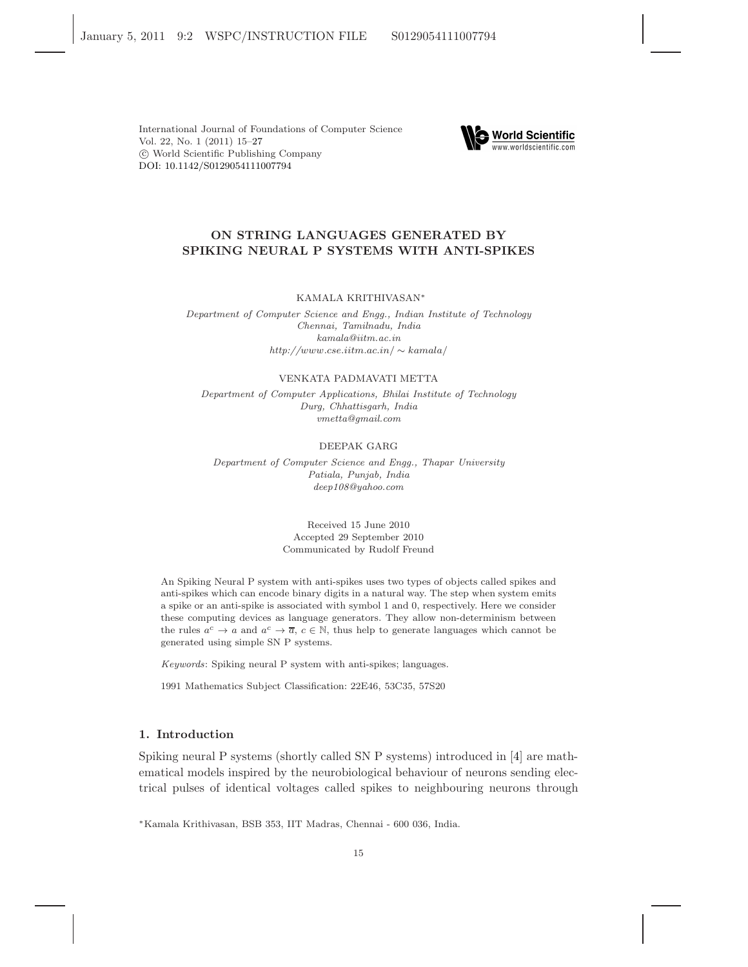DOI: [10.1142/S0129054111007794](http://dx.doi.org/10.1142/S0129054111007794) International Journal of Foundations of Computer Science Vol. 22, No. 1 (2011) 15[–27](#page-12-0) c World Scientific Publishing Company



# ON STRING LANGUAGES GENERATED BY SPIKING NEURAL P SYSTEMS WITH ANTI-SPIKES

KAMALA KRITHIVASAN<sup>∗</sup>

Department of Computer Science and Engg., Indian Institute of Technology Chennai, Tamilnadu, India kamala@iitm.ac.in http://www.cse.iitm.ac.in/ ∼ kamala/

## VENKATA PADMAVATI METTA

Department of Computer Applications, Bhilai Institute of Technology Durg, Chhattisgarh, India vmetta@gmail.com

# DEEPAK GARG

Department of Computer Science and Engg., Thapar University Patiala, Punjab, India deep108@yahoo.com

> Received 15 June 2010 Accepted 29 September 2010 Communicated by Rudolf Freund

An Spiking Neural P system with anti-spikes uses two types of objects called spikes and anti-spikes which can encode binary digits in a natural way. The step when system emits a spike or an anti-spike is associated with symbol 1 and 0, respectively. Here we consider these computing devices as language generators. They allow non-determinism between the rules  $a^c \to a$  and  $a^c \to \overline{a}$ ,  $c \in \mathbb{N}$ , thus help to generate languages which cannot be generated using simple SN P systems.

Keywords: Spiking neural P system with anti-spikes; languages.

1991 Mathematics Subject Classification: 22E46, 53C35, 57S20

# 1. Introduction

Spiking neural P systems (shortly called SN P systems) introduced in [\[4\]](#page-13-0) are mathematical models inspired by the neurobiological behaviour of neurons sending electrical pulses of identical voltages called spikes to neighbouring neurons through

<sup>∗</sup>Kamala Krithivasan, BSB 353, IIT Madras, Chennai - 600 036, India.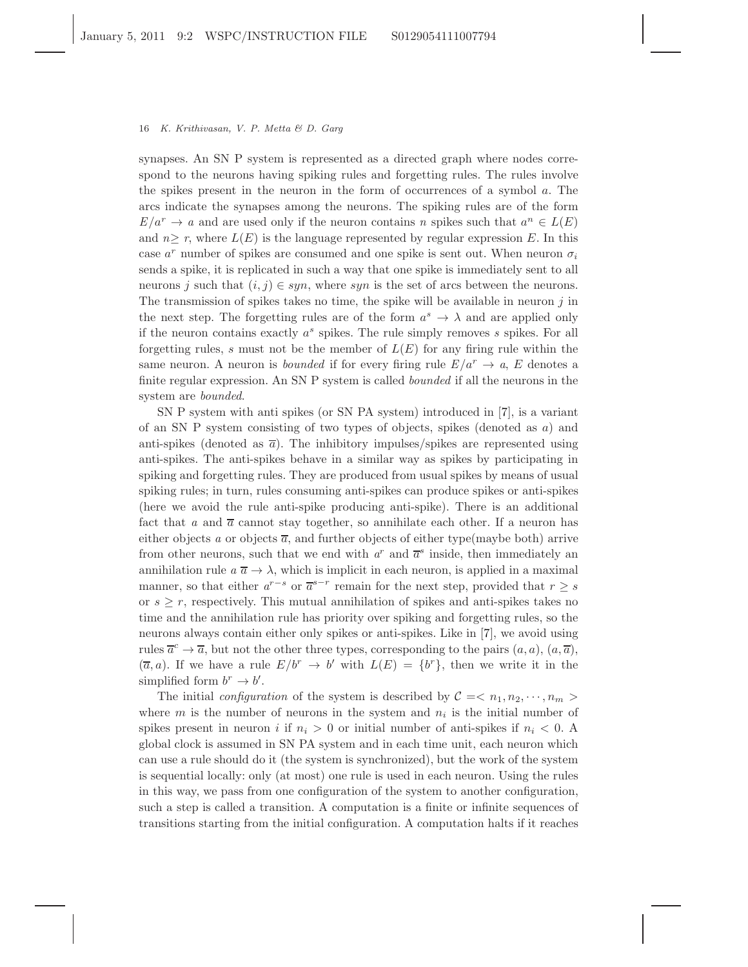synapses. An SN P system is represented as a directed graph where nodes correspond to the neurons having spiking rules and forgetting rules. The rules involve the spikes present in the neuron in the form of occurrences of a symbol a. The arcs indicate the synapses among the neurons. The spiking rules are of the form  $E/a^r \to a$  and are used only if the neuron contains n spikes such that  $a^n \in L(E)$ and  $n \geq r$ , where  $L(E)$  is the language represented by regular expression E. In this case  $a^r$  number of spikes are consumed and one spike is sent out. When neuron  $\sigma_i$ sends a spike, it is replicated in such a way that one spike is immediately sent to all neurons j such that  $(i, j) \in syn$ , where syn is the set of arcs between the neurons. The transmission of spikes takes no time, the spike will be available in neuron  $j$  in the next step. The forgetting rules are of the form  $a^s \to \lambda$  and are applied only if the neuron contains exactly  $a^s$  spikes. The rule simply removes s spikes. For all forgetting rules, s must not be the member of  $L(E)$  for any firing rule within the same neuron. A neuron is *bounded* if for every firing rule  $E/a^r \to a$ , E denotes a finite regular expression. An SN P system is called bounded if all the neurons in the system are bounded.

SN P system with anti spikes (or SN PA system) introduced in [\[7\]](#page-13-1), is a variant of an SN P system consisting of two types of objects, spikes (denoted as a) and anti-spikes (denoted as  $\bar{a}$ ). The inhibitory impulses/spikes are represented using anti-spikes. The anti-spikes behave in a similar way as spikes by participating in spiking and forgetting rules. They are produced from usual spikes by means of usual spiking rules; in turn, rules consuming anti-spikes can produce spikes or anti-spikes (here we avoid the rule anti-spike producing anti-spike). There is an additional fact that a and  $\bar{a}$  cannot stay together, so annihilate each other. If a neuron has either objects a or objects  $\overline{a}$ , and further objects of either type(maybe both) arrive from other neurons, such that we end with  $a^r$  and  $\overline{a}^s$  inside, then immediately an annihilation rule  $a \overline{a} \rightarrow \lambda$ , which is implicit in each neuron, is applied in a maximal manner, so that either  $a^{r-s}$  or  $\overline{a}^{s-r}$  remain for the next step, provided that  $r \geq s$ or  $s \geq r$ , respectively. This mutual annihilation of spikes and anti-spikes takes no time and the annihilation rule has priority over spiking and forgetting rules, so the neurons always contain either only spikes or anti-spikes. Like in [\[7\]](#page-13-1), we avoid using rules  $\overline{a}^c \to \overline{a}$ , but not the other three types, corresponding to the pairs  $(a, a)$ ,  $(a, \overline{a})$ ,  $(\overline{a}, a)$ . If we have a rule  $E/b^r \rightarrow b'$  with  $L(E) = \{b^r\}$ , then we write it in the simplified form  $b^r \to b'$ .

The initial *configuration* of the system is described by  $C = \langle n_1, n_2, \dots, n_m \rangle$ where  $m$  is the number of neurons in the system and  $n_i$  is the initial number of spikes present in neuron i if  $n_i > 0$  or initial number of anti-spikes if  $n_i < 0$ . global clock is assumed in SN PA system and in each time unit, each neuron which can use a rule should do it (the system is synchronized), but the work of the system is sequential locally: only (at most) one rule is used in each neuron. Using the rules in this way, we pass from one configuration of the system to another configuration, such a step is called a transition. A computation is a finite or infinite sequences of transitions starting from the initial configuration. A computation halts if it reaches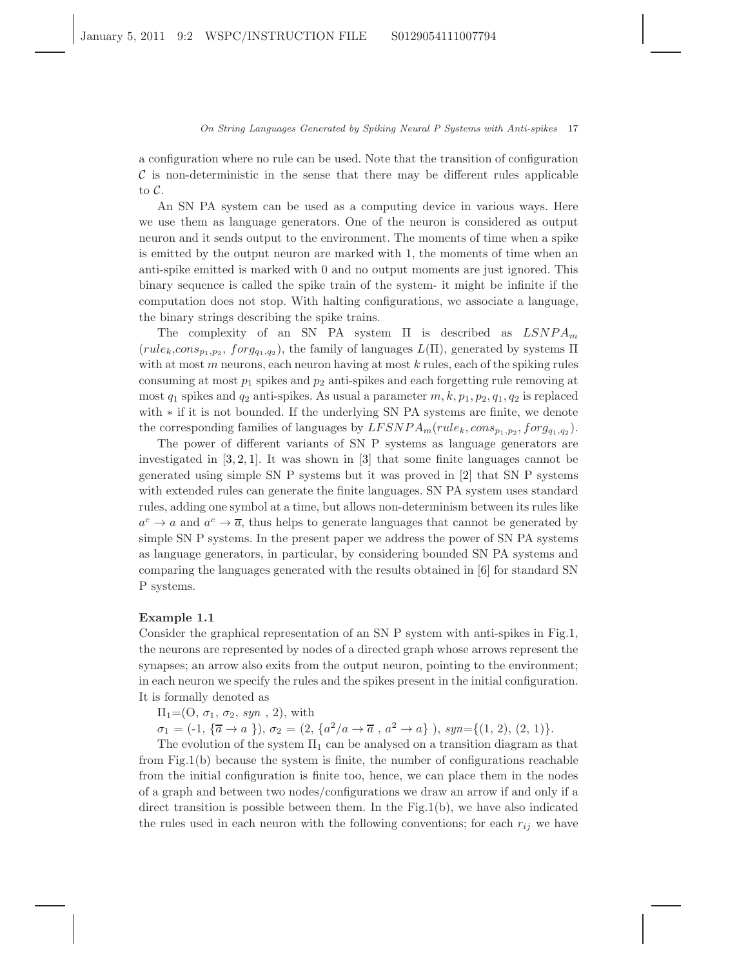a configuration where no rule can be used. Note that the transition of configuration  $\mathcal C$  is non-deterministic in the sense that there may be different rules applicable to C.

An SN PA system can be used as a computing device in various ways. Here we use them as language generators. One of the neuron is considered as output neuron and it sends output to the environment. The moments of time when a spike is emitted by the output neuron are marked with 1, the moments of time when an anti-spike emitted is marked with 0 and no output moments are just ignored. This binary sequence is called the spike train of the system- it might be infinite if the computation does not stop. With halting configurations, we associate a language, the binary strings describing the spike trains.

The complexity of an SN PA system  $\Pi$  is described as  $LSNPA_m$  $(rule_k, cons_{p_1, p_2}, for g_{q_1, q_2})$ , the family of languages  $L(\Pi)$ , generated by systems  $\Pi$ with at most  $m$  neurons, each neuron having at most  $k$  rules, each of the spiking rules consuming at most  $p_1$  spikes and  $p_2$  anti-spikes and each forgetting rule removing at most  $q_1$  spikes and  $q_2$  anti-spikes. As usual a parameter  $m, k, p_1, p_2, q_1, q_2$  is replaced with ∗ if it is not bounded. If the underlying SN PA systems are finite, we denote the corresponding families of languages by  $LFSNPA_m (rule_k, cons_{p_1,p_2}, for g_{q_1,q_2}).$ 

The power of different variants of SN P systems as language generators are investigated in [\[3](#page-13-2), [2](#page-13-3), [1\]](#page-12-1). It was shown in [\[3\]](#page-13-2) that some finite languages cannot be generated using simple SN P systems but it was proved in [\[2\]](#page-13-3) that SN P systems with extended rules can generate the finite languages. SN PA system uses standard rules, adding one symbol at a time, but allows non-determinism between its rules like  $a^c \to a$  and  $a^c \to \overline{a}$ , thus helps to generate languages that cannot be generated by simple SN P systems. In the present paper we address the power of SN PA systems as language generators, in particular, by considering bounded SN PA systems and comparing the languages generated with the results obtained in [\[6\]](#page-13-4) for standard SN P systems.

## Example 1.1

Consider the graphical representation of an SN P system with anti-spikes in Fig.1, the neurons are represented by nodes of a directed graph whose arrows represent the synapses; an arrow also exits from the output neuron, pointing to the environment; in each neuron we specify the rules and the spikes present in the initial configuration. It is formally denoted as

 $\Pi_1=(O, \sigma_1, \sigma_2, \text{ syn } , 2)$ , with

 $\sigma_1 = (-1, \{\overline{a} \to a\})$ ,  $\sigma_2 = (2, \{a^2/a \to \overline{a}, a^2 \to a\})$ ,  $syn = \{(1, 2), (2, 1)\}.$ 

The evolution of the system  $\Pi_1$  can be analysed on a transition diagram as that from Fig.1(b) because the system is finite, the number of configurations reachable from the initial configuration is finite too, hence, we can place them in the nodes of a graph and between two nodes/configurations we draw an arrow if and only if a direct transition is possible between them. In the Fig.1(b), we have also indicated the rules used in each neuron with the following conventions; for each  $r_{ij}$  we have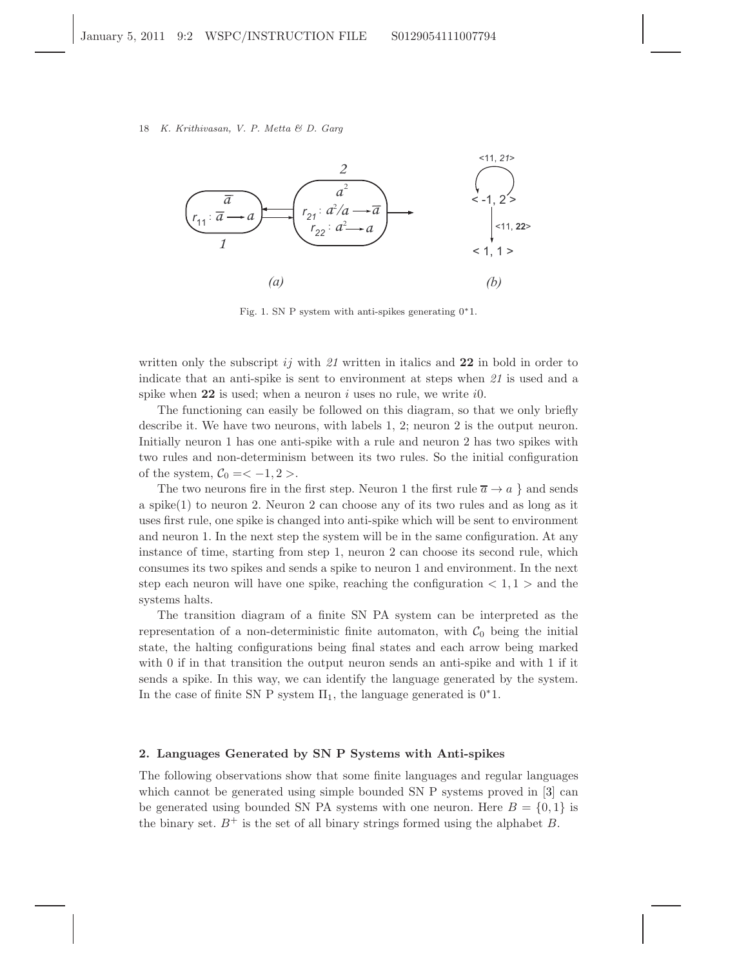

Fig. 1. SN P system with anti-spikes generating 0∗1.

written only the subscript ij with 21 written in italics and 22 in bold in order to indicate that an anti-spike is sent to environment at steps when 21 is used and a spike when  $22$  is used; when a neuron i uses no rule, we write i0.

The functioning can easily be followed on this diagram, so that we only briefly describe it. We have two neurons, with labels 1, 2; neuron 2 is the output neuron. Initially neuron 1 has one anti-spike with a rule and neuron 2 has two spikes with two rules and non-determinism between its two rules. So the initial configuration of the system,  $C_0 = < -1, 2>$ .

The two neurons fire in the first step. Neuron 1 the first rule  $\overline{a} \to a$  } and sends a spike(1) to neuron 2. Neuron 2 can choose any of its two rules and as long as it uses first rule, one spike is changed into anti-spike which will be sent to environment and neuron 1. In the next step the system will be in the same configuration. At any instance of time, starting from step 1, neuron 2 can choose its second rule, which consumes its two spikes and sends a spike to neuron 1 and environment. In the next step each neuron will have one spike, reaching the configuration  $\langle 1, 1 \rangle$  and the systems halts.

The transition diagram of a finite SN PA system can be interpreted as the representation of a non-deterministic finite automaton, with  $C_0$  being the initial state, the halting configurations being final states and each arrow being marked with 0 if in that transition the output neuron sends an anti-spike and with 1 if it sends a spike. In this way, we can identify the language generated by the system. In the case of finite SN P system  $\Pi_1$ , the language generated is  $0^*1$ .

#### 2. Languages Generated by SN P Systems with Anti-spikes

The following observations show that some finite languages and regular languages which cannot be generated using simple bounded SN P systems proved in [\[3\]](#page-13-2) can be generated using bounded SN PA systems with one neuron. Here  $B = \{0, 1\}$  is the binary set.  $B^+$  is the set of all binary strings formed using the alphabet B.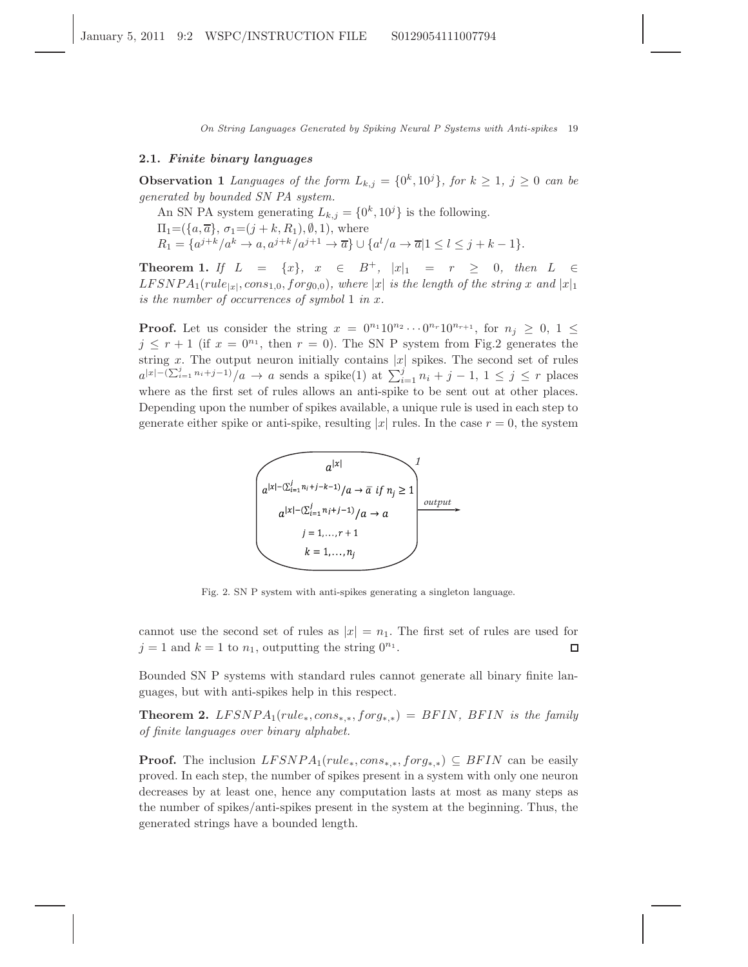## 2.1. Finite binary languages

**Observation 1** Languages of the form  $L_{k,j} = \{0^k, 10^j\}$ , for  $k \ge 1$ ,  $j \ge 0$  can be generated by bounded SN PA system.

An SN PA system generating  $L_{k,j} = \{0^k, 10^j\}$  is the following.

 $\Pi_1 = (\{a, \overline{a}\}, \sigma_1 = (j + k, R_1), \emptyset, 1),$  where

 $R_1 = \{a^{j+k}/a^k \to a, a^{j+k}/a^{j+1} \to \overline{a}\} \cup \{a^l/a \to \overline{a}|1 \leq l \leq j+k-1\}.$ 

Theorem 1. If  $L = \{x\}, x \in B^+, |x|_1 = r \geq 0$ , then  $L \in$  $LFSNPA_{1}(rule_{|x|},cons_{1,0},forg_{0,0}),$  where |x| is the length of the string x and |x|<sub>1</sub> is the number of occurrences of symbol 1 in x.

**Proof.** Let us consider the string  $x = 0^{n_1} 10^{n_2} \cdots 0^{n_r} 10^{n_{r+1}}$ , for  $n_j \geq 0, 1 \leq$  $j \leq r+1$  (if  $x = 0^{n_1}$ , then  $r = 0$ ). The SN P system from Fig.2 generates the string x. The output neuron initially contains  $|x|$  spikes. The second set of rules  $a^{|x|-(\sum_{i=1}^j n_i+j-1)}/a \to a$  sends a spike(1) at  $\sum_{i=1}^j n_i+j-1, 1 \leq j \leq r$  places where as the first set of rules allows an anti-spike to be sent out at other places. Depending upon the number of spikes available, a unique rule is used in each step to generate either spike or anti-spike, resulting |x| rules. In the case  $r = 0$ , the system



Fig. 2. SN P system with anti-spikes generating a singleton language.

cannot use the second set of rules as  $|x| = n_1$ . The first set of rules are used for  $j = 1$  and  $k = 1$  to  $n_1$ , outputting the string  $0^{n_1}$ .  $\Box$ 

Bounded SN P systems with standard rules cannot generate all binary finite languages, but with anti-spikes help in this respect.

**Theorem 2.** LFSNPA<sub>1</sub>(rule<sub>\*</sub>, cons<sub>\*\*</sub>, forg<sub>\*\*</sub>) = BFIN, BFIN is the family of finite languages over binary alphabet.

**Proof.** The inclusion  $LFSNPA_1(rule_*,cons_{**},forq_{**}) \subseteq BFIN$  can be easily proved. In each step, the number of spikes present in a system with only one neuron decreases by at least one, hence any computation lasts at most as many steps as the number of spikes/anti-spikes present in the system at the beginning. Thus, the generated strings have a bounded length.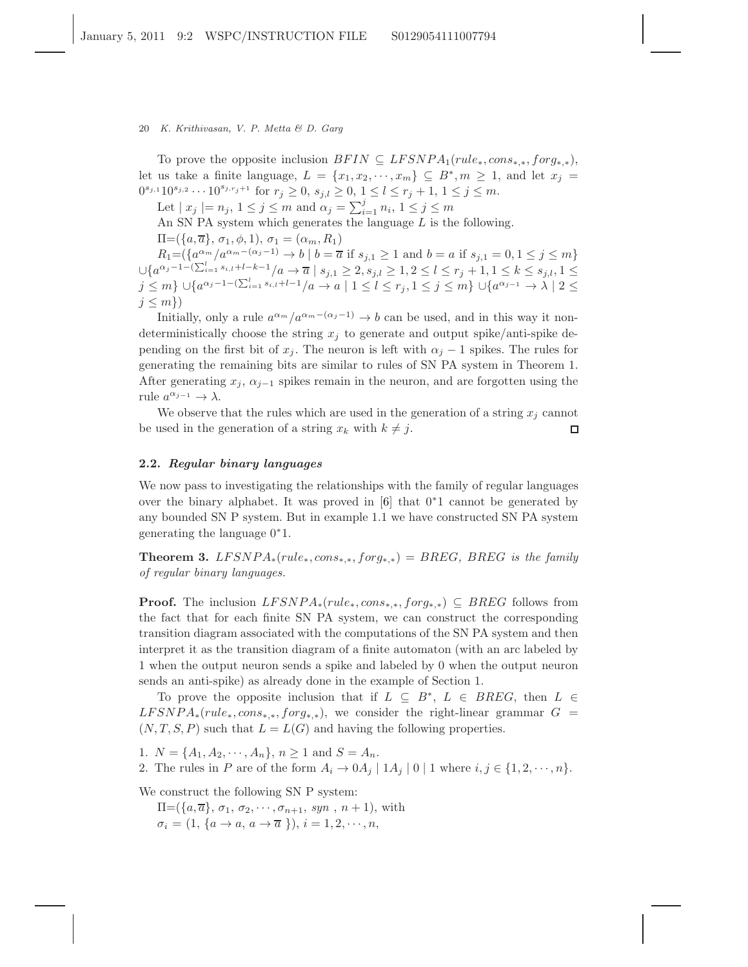To prove the opposite inclusion  $BFIN \subseteq LFSNPA_1(rule_*,cons_{**},forg_{**}),$ let us take a finite language,  $L = \{x_1, x_2, \dots, x_m\} \subseteq B^*$ ,  $m \ge 1$ , and let  $x_j =$  $0^{s_{j,1}}10^{s_{j,2}}\cdots10^{s_{j,r_j+1}}$  for  $r_j\geq 0$ ,  $s_{j,l}\geq 0$ ,  $1\leq l\leq r_j+1$ ,  $1\leq j\leq m$ .

Let  $|x_j|=n_j$ ,  $1\leq j\leq m$  and  $\alpha_j=\sum_{i=1}^j n_i$ ,  $1\leq j\leq m$ 

An SN PA system which generates the language  $L$  is the following.

 $\Pi = (\{a,\overline{a}\}, \sigma_1, \phi, 1), \sigma_1 = (\alpha_m, R_1)$ 

 $R_1 = (\{a^{\alpha_m}/a^{\alpha_m - (\alpha_j - 1)} \to b \mid b = \overline{a} \text{ if } s_{j,1} \ge 1 \text{ and } b = a \text{ if } s_{j,1} = 0, 1 \le j \le m\}$  $\cup \{a^{\alpha_j-1-(\sum_{i=1}^l s_{i,l}+l-k-1}/a \to \overline{a} \mid s_{j,1} \geq 2, s_{j,l} \geq 1, 2 \leq l \leq r_j+1, 1 \leq k \leq s_{j,l}, 1 \leq l \leq k \}$  $j \leq m$ } ∪{ $a^{\alpha_j-1-(\sum_{i=1}^l s_{i,l}+l-1}/a \to a \mid 1 \leq l \leq r_j, 1 \leq j \leq m$ } ∪{ $a^{\alpha_{j-1}} \to \lambda \mid 2 \leq$  $j \leq m$ }

Initially, only a rule  $a^{\alpha_m}/a^{\alpha_m-(\alpha_j-1)} \to b$  can be used, and in this way it nondeterministically choose the string  $x_i$  to generate and output spike/anti-spike depending on the first bit of  $x_j$ . The neuron is left with  $\alpha_j - 1$  spikes. The rules for generating the remaining bits are similar to rules of SN PA system in Theorem 1. After generating  $x_j$ ,  $\alpha_{j-1}$  spikes remain in the neuron, and are forgotten using the rule  $a^{\alpha_{j-1}} \to \lambda$ .

We observe that the rules which are used in the generation of a string  $x_i$  cannot be used in the generation of a string  $x_k$  with  $k \neq j$ .  $\Box$ 

## 2.2. Regular binary languages

We now pass to investigating the relationships with the family of regular languages over the binary alphabet. It was proved in [\[6\]](#page-13-4) that 0<sup>∗</sup>1 cannot be generated by any bounded SN P system. But in example 1.1 we have constructed SN PA system generating the language 0<sup>∗</sup>1.

**Theorem 3.** LFSNPA<sub>\*</sub>(rule<sub>\*</sub>, cons<sub>\*\*</sub>, forg<sub>\*\*</sub>) = BREG, BREG is the family of regular binary languages.

**Proof.** The inclusion  $LFSNPA_*(rule_*,cons_{*,*},forg_{*,*}) \subseteq BREG$  follows from the fact that for each finite SN PA system, we can construct the corresponding transition diagram associated with the computations of the SN PA system and then interpret it as the transition diagram of a finite automaton (with an arc labeled by 1 when the output neuron sends a spike and labeled by 0 when the output neuron sends an anti-spike) as already done in the example of Section 1.

To prove the opposite inclusion that if  $L \subseteq B^*$ ,  $L \in BREG$ , then  $L \in$  $LFSNPA_*(rule_*,cons_{*,*},forg_{*,*}),$  we consider the right-linear grammar  $G =$  $(N, T, S, P)$  such that  $L = L(G)$  and having the following properties.

1.  $N = \{A_1, A_2, \dots, A_n\}, n \ge 1$  and  $S = A_n$ .

2. The rules in P are of the form  $A_i \rightarrow 0A_j | 1A_j | 0 | 1$  where  $i, j \in \{1, 2, \dots, n\}$ .

We construct the following SN P system:

 $\Pi = (\{a,\overline{a}\}, \sigma_1, \sigma_2, \cdots, \sigma_{n+1}, \text{syn}, n+1),$  with  $\sigma_i = (1, \{a \rightarrow a, a \rightarrow \overline{a} \})$ ,  $i = 1, 2, \dots, n$ ,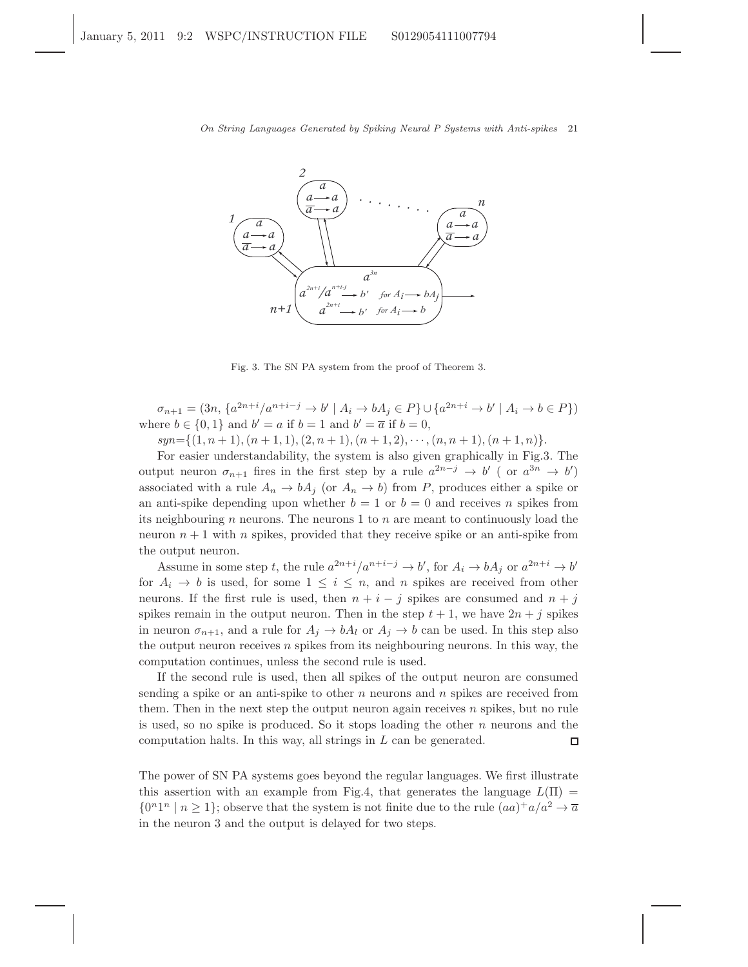

Fig. 3. The SN PA system from the proof of Theorem 3.

 $\sigma_{n+1} = (3n, \{a^{2n+i}/a^{n+i-j} \to b' \mid A_i \to bA_j \in P\} \cup \{a^{2n+i} \to b' \mid A_i \to b \in P\})$ where  $b \in \{0, 1\}$  and  $b' = a$  if  $b = 1$  and  $b' = \overline{a}$  if  $b = 0$ ,

 $syn = \{(1, n + 1), (n + 1, 1), (2, n + 1), (n + 1, 2), \cdots, (n, n + 1), (n + 1, n)\}.$ 

For easier understandability, the system is also given graphically in Fig.3. The output neuron  $\sigma_{n+1}$  fires in the first step by a rule  $a^{2n-j} \to b'$  (or  $a^{3n} \to b'$ ) associated with a rule  $A_n \to bA_j$  (or  $A_n \to b$ ) from P, produces either a spike or an anti-spike depending upon whether  $b = 1$  or  $b = 0$  and receives n spikes from its neighbouring n neurons. The neurons 1 to n are meant to continuously load the neuron  $n + 1$  with n spikes, provided that they receive spike or an anti-spike from the output neuron.

Assume in some step t, the rule  $a^{2n+i}/a^{n+i-j} \to b'$ , for  $A_i \to bA_j$  or  $a^{2n+i} \to b'$ for  $A_i \rightarrow b$  is used, for some  $1 \leq i \leq n$ , and n spikes are received from other neurons. If the first rule is used, then  $n + i - j$  spikes are consumed and  $n + j$ spikes remain in the output neuron. Then in the step  $t + 1$ , we have  $2n + j$  spikes in neuron  $\sigma_{n+1}$ , and a rule for  $A_j \to bA_l$  or  $A_j \to b$  can be used. In this step also the output neuron receives  $n$  spikes from its neighbouring neurons. In this way, the computation continues, unless the second rule is used.

If the second rule is used, then all spikes of the output neuron are consumed sending a spike or an anti-spike to other  $n$  neurons and  $n$  spikes are received from them. Then in the next step the output neuron again receives  $n$  spikes, but no rule is used, so no spike is produced. So it stops loading the other  $n$  neurons and the computation halts. In this way, all strings in L can be generated.  $\Box$ 

The power of SN PA systems goes beyond the regular languages. We first illustrate this assertion with an example from Fig.4, that generates the language  $L(\Pi)$  =  $\{0^n1^n \mid n \geq 1\}$ ; observe that the system is not finite due to the rule  $(aa)^+a/a^2 \rightarrow \overline{a}$ in the neuron 3 and the output is delayed for two steps.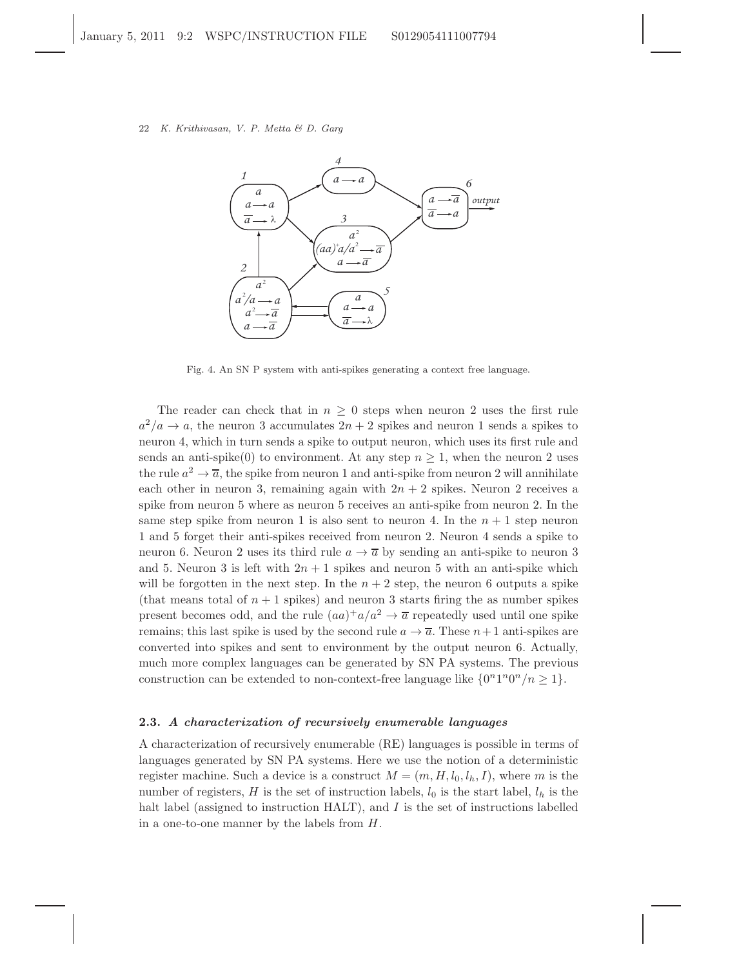

Fig. 4. An SN P system with anti-spikes generating a context free language.

The reader can check that in  $n \geq 0$  steps when neuron 2 uses the first rule  $a^2/a \rightarrow a$ , the neuron 3 accumulates  $2n + 2$  spikes and neuron 1 sends a spikes to neuron 4, which in turn sends a spike to output neuron, which uses its first rule and sends an anti-spike(0) to environment. At any step  $n \geq 1$ , when the neuron 2 uses the rule  $a^2 \to \overline{a}$ , the spike from neuron 1 and anti-spike from neuron 2 will annihilate each other in neuron 3, remaining again with  $2n + 2$  spikes. Neuron 2 receives a spike from neuron 5 where as neuron 5 receives an anti-spike from neuron 2. In the same step spike from neuron 1 is also sent to neuron 4. In the  $n + 1$  step neuron 1 and 5 forget their anti-spikes received from neuron 2. Neuron 4 sends a spike to neuron 6. Neuron 2 uses its third rule  $a \rightarrow \overline{a}$  by sending an anti-spike to neuron 3 and 5. Neuron 3 is left with  $2n + 1$  spikes and neuron 5 with an anti-spike which will be forgotten in the next step. In the  $n + 2$  step, the neuron 6 outputs a spike (that means total of  $n + 1$  spikes) and neuron 3 starts firing the as number spikes present becomes odd, and the rule  $(aa)^+a/a^2 \rightarrow \overline{a}$  repeatedly used until one spike remains; this last spike is used by the second rule  $a \to \overline{a}$ . These  $n+1$  anti-spikes are converted into spikes and sent to environment by the output neuron 6. Actually, much more complex languages can be generated by SN PA systems. The previous construction can be extended to non-context-free language like  $\{0^n1^n0^n/n \geq 1\}$ .

# 2.3. A characterization of recursively enumerable languages

A characterization of recursively enumerable (RE) languages is possible in terms of languages generated by SN PA systems. Here we use the notion of a deterministic register machine. Such a device is a construct  $M = (m, H, l_0, l_h, I)$ , where m is the number of registers, H is the set of instruction labels,  $l_0$  is the start label,  $l_h$  is the halt label (assigned to instruction HALT), and I is the set of instructions labelled in a one-to-one manner by the labels from H.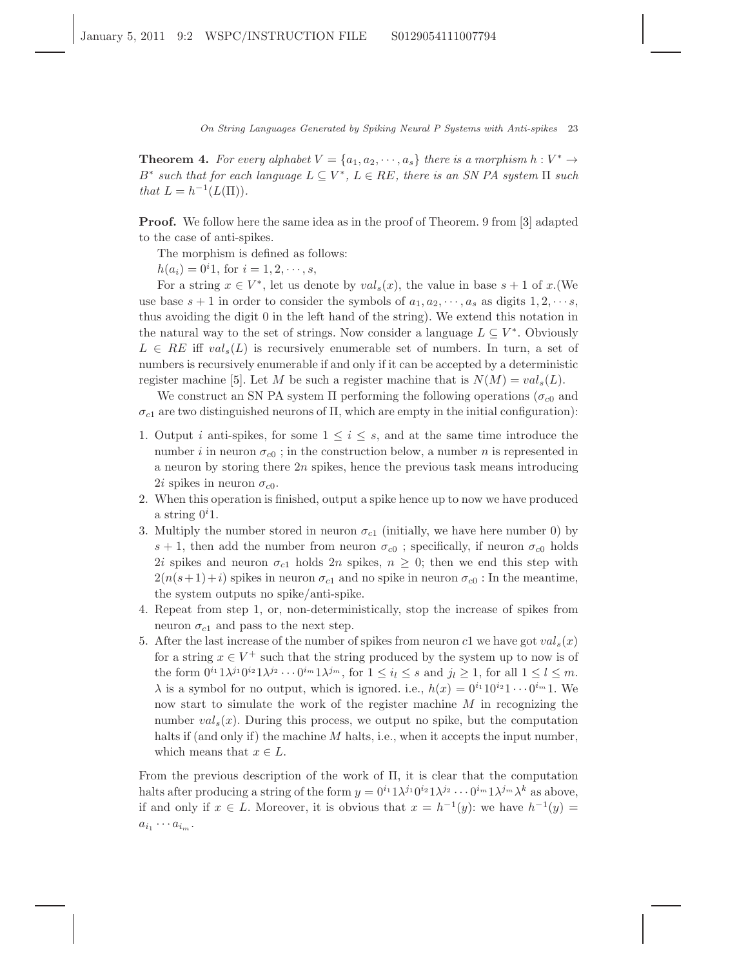**Theorem 4.** For every alphabet  $V = \{a_1, a_2, \dots, a_s\}$  there is a morphism  $h: V^* \to V^*$ B<sup>\*</sup> such that for each language  $L \subseteq V^*$ ,  $L \in RE$ , there is an SN PA system  $\Pi$  such that  $L = h^{-1}(L(\Pi)).$ 

Proof. We follow here the same idea as in the proof of Theorem. 9 from [\[3\]](#page-13-2) adapted to the case of anti-spikes.

The morphism is defined as follows:

 $h(a_i) = 0^i 1$ , for  $i = 1, 2, \dots, s$ ,

For a string  $x \in V^*$ , let us denote by  $val_s(x)$ , the value in base  $s + 1$  of  $x$ . (We use base  $s + 1$  in order to consider the symbols of  $a_1, a_2, \dots, a_s$  as digits  $1, 2, \dots, s$ , thus avoiding the digit 0 in the left hand of the string). We extend this notation in the natural way to the set of strings. Now consider a language  $L \subseteq V^*$ . Obviously  $L \in \mathbb{R}E$  iff  $val_s(L)$  is recursively enumerable set of numbers. In turn, a set of numbers is recursively enumerable if and only if it can be accepted by a deterministic register machine [\[5\]](#page-13-5). Let M be such a register machine that is  $N(M) = val_s(L)$ .

We construct an SN PA system  $\Pi$  performing the following operations ( $\sigma_{c0}$  and  $\sigma_{c1}$  are two distinguished neurons of  $\Pi$ , which are empty in the initial configuration):

- 1. Output i anti-spikes, for some  $1 \leq i \leq s$ , and at the same time introduce the number i in neuron  $\sigma_{c0}$ ; in the construction below, a number n is represented in a neuron by storing there  $2n$  spikes, hence the previous task means introducing 2*i* spikes in neuron  $\sigma_{c0}$ .
- 2. When this operation is finished, output a spike hence up to now we have produced a string  $0<sup>i</sup>1$ .
- 3. Multiply the number stored in neuron  $\sigma_{c1}$  (initially, we have here number 0) by s + 1, then add the number from neuron  $\sigma_{c0}$ ; specifically, if neuron  $\sigma_{c0}$  holds 2i spikes and neuron  $\sigma_{c1}$  holds  $2n$  spikes,  $n \geq 0$ ; then we end this step with  $2(n(s+1)+i)$  spikes in neuron  $\sigma_{c1}$  and no spike in neuron  $\sigma_{c0}$ : In the meantime, the system outputs no spike/anti-spike.
- 4. Repeat from step 1, or, non-deterministically, stop the increase of spikes from neuron  $\sigma_{c1}$  and pass to the next step.
- 5. After the last increase of the number of spikes from neuron c1 we have got  $val_s(x)$ for a string  $x \in V^+$  such that the string produced by the system up to now is of the form  $0^{i_1} 1 \lambda^{j_1} 0^{i_2} 1 \lambda^{j_2} \cdots 0^{i_m} 1 \lambda^{j_m}$ , for  $1 \leq i_l \leq s$  and  $j_l \geq 1$ , for all  $1 \leq l \leq m$ .  $\lambda$  is a symbol for no output, which is ignored. i.e.,  $h(x) = 0^{i_1} 10^{i_2} 1 \cdots 0^{i_m} 1$ . We now start to simulate the work of the register machine  $M$  in recognizing the number  $val_s(x)$ . During this process, we output no spike, but the computation halts if (and only if) the machine  $M$  halts, i.e., when it accepts the input number, which means that  $x \in L$ .

From the previous description of the work of Π, it is clear that the computation halts after producing a string of the form  $y = 0^{i_1} \lambda^{j_1} 0^{i_2} \lambda^{j_2} \cdots 0^{i_m} 1 \lambda^{j_m} \lambda^k$  as above, if and only if  $x \in L$ . Moreover, it is obvious that  $x = h^{-1}(y)$ : we have  $h^{-1}(y) =$  $a_{i_1}\cdots a_{i_m}$ .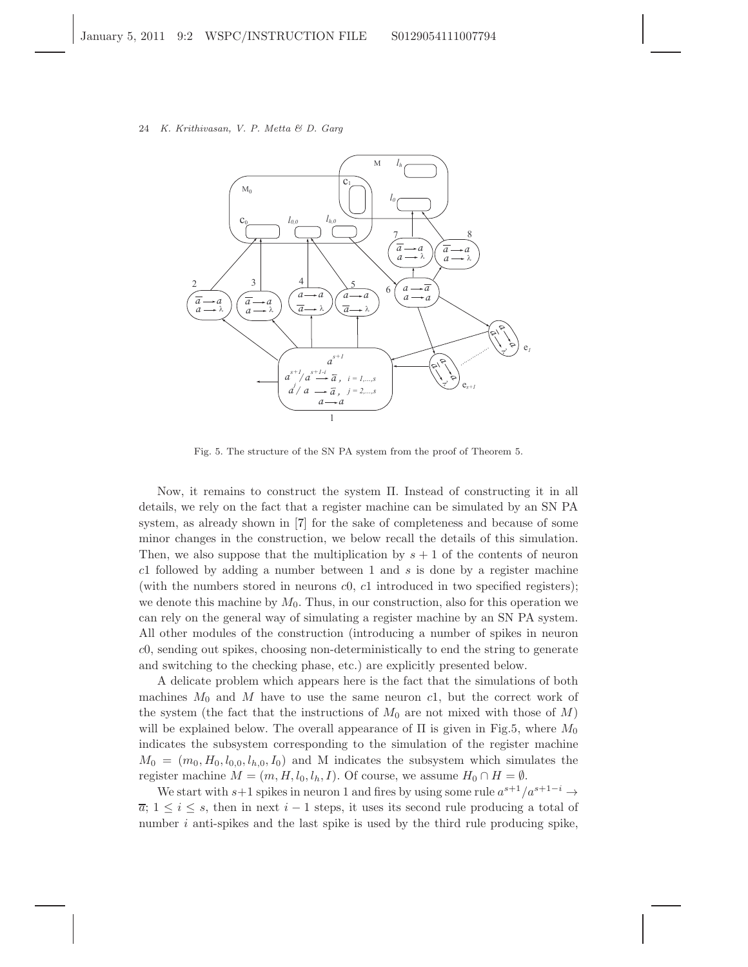# 24 K. Krithivasan, V. P. Metta & D. Garg

![](_page_10_Figure_1.jpeg)

Fig. 5. The structure of the SN PA system from the proof of Theorem 5.

Now, it remains to construct the system Π. Instead of constructing it in all details, we rely on the fact that a register machine can be simulated by an SN PA system, as already shown in [\[7\]](#page-13-1) for the sake of completeness and because of some minor changes in the construction, we below recall the details of this simulation. Then, we also suppose that the multiplication by  $s + 1$  of the contents of neuron c1 followed by adding a number between 1 and  $s$  is done by a register machine (with the numbers stored in neurons  $c0$ ,  $c1$  introduced in two specified registers); we denote this machine by  $M_0$ . Thus, in our construction, also for this operation we can rely on the general way of simulating a register machine by an SN PA system. All other modules of the construction (introducing a number of spikes in neuron c0, sending out spikes, choosing non-deterministically to end the string to generate and switching to the checking phase, etc.) are explicitly presented below.

A delicate problem which appears here is the fact that the simulations of both machines  $M_0$  and M have to use the same neuron c1, but the correct work of the system (the fact that the instructions of  $M_0$  are not mixed with those of M) will be explained below. The overall appearance of  $\Pi$  is given in Fig.5, where  $M_0$ indicates the subsystem corresponding to the simulation of the register machine  $M_0 = (m_0, H_0, l_{0,0}, l_{h,0}, I_0)$  and M indicates the subsystem which simulates the register machine  $M = (m, H, l_0, l_h, I)$ . Of course, we assume  $H_0 \cap H = \emptyset$ .

We start with s+1 spikes in neuron 1 and fires by using some rule  $a^{s+1}/a^{s+1-i} \rightarrow$  $\overline{a}$ ;  $1 \leq i \leq s$ , then in next  $i-1$  steps, it uses its second rule producing a total of number  $i$  anti-spikes and the last spike is used by the third rule producing spike,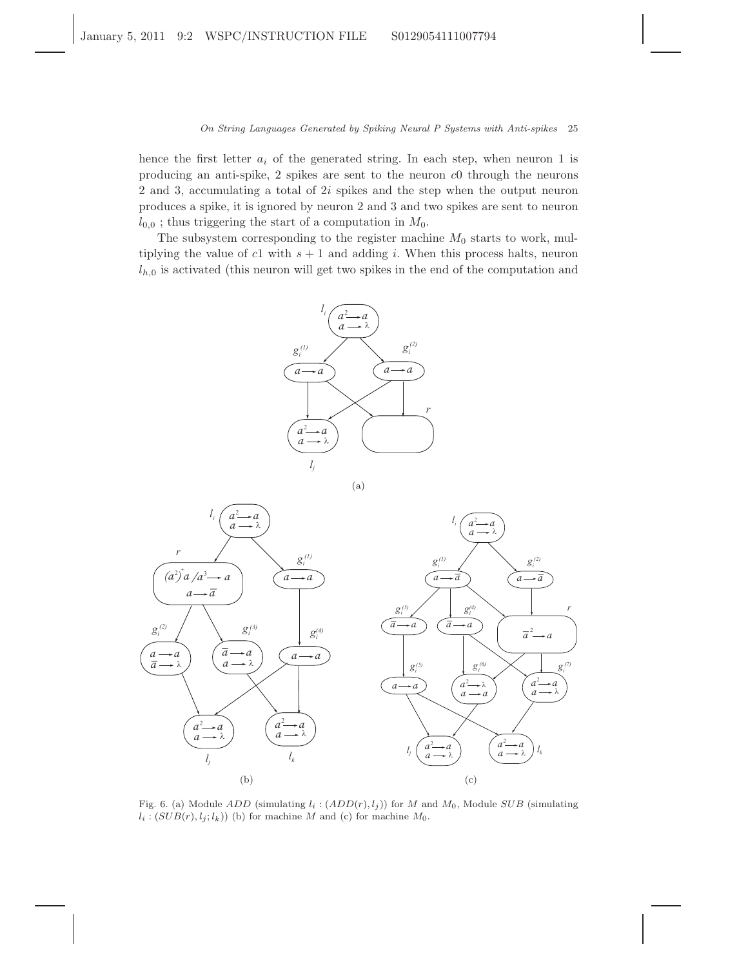hence the first letter  $a_i$  of the generated string. In each step, when neuron 1 is producing an anti-spike, 2 spikes are sent to the neuron c0 through the neurons 2 and 3, accumulating a total of 2i spikes and the step when the output neuron produces a spike, it is ignored by neuron 2 and 3 and two spikes are sent to neuron  $l_{0,0}$ ; thus triggering the start of a computation in  $M_0$ .

The subsystem corresponding to the register machine  $M_0$  starts to work, multiplying the value of c1 with  $s + 1$  and adding i. When this process halts, neuron  $l_{h,0}$  is activated (this neuron will get two spikes in the end of the computation and

![](_page_11_Figure_3.jpeg)

(a)

![](_page_11_Figure_5.jpeg)

Fig. 6. (a) Module ADD (simulating  $l_i : (ADD(r), l_i)$ ) for M and  $M_0$ , Module SUB (simulating  $l_i : (SUB(r), l_j; l_k))$  (b) for machine M and (c) for machine  $M_0$ .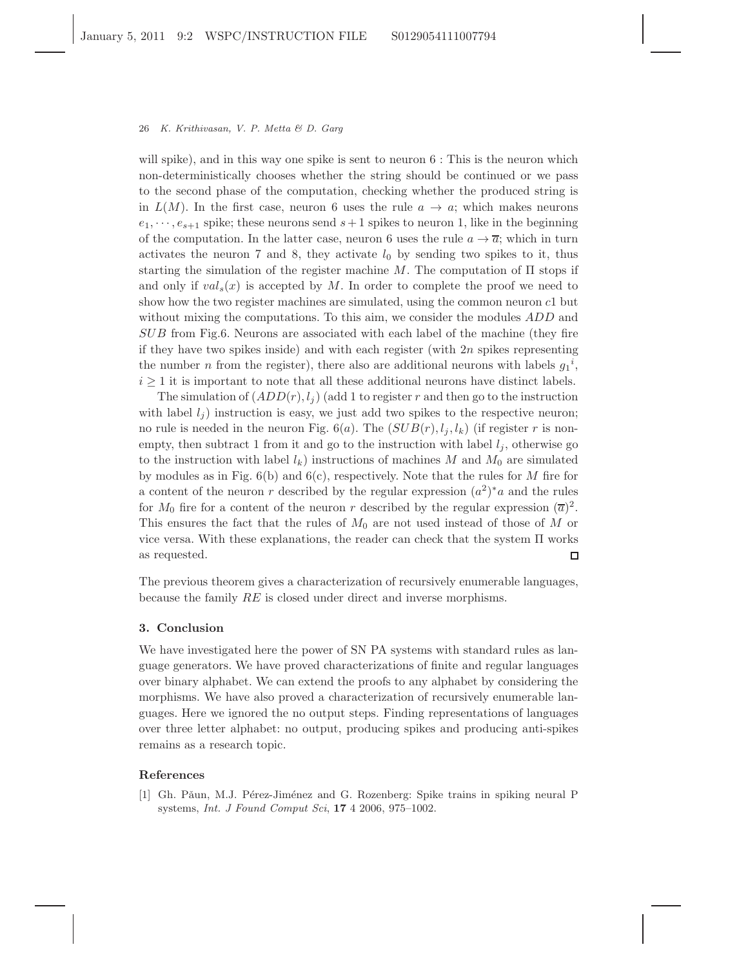will spike), and in this way one spike is sent to neuron  $6:$  This is the neuron which non-deterministically chooses whether the string should be continued or we pass to the second phase of the computation, checking whether the produced string is in  $L(M)$ . In the first case, neuron 6 uses the rule  $a \to a$ ; which makes neurons  $e_1, \dots, e_{s+1}$  spike; these neurons send  $s+1$  spikes to neuron 1, like in the beginning of the computation. In the latter case, neuron 6 uses the rule  $a \to \overline{a}$ ; which in turn activates the neuron 7 and 8, they activate  $l_0$  by sending two spikes to it, thus starting the simulation of the register machine M. The computation of  $\Pi$  stops if and only if  $val_s(x)$  is accepted by M. In order to complete the proof we need to show how the two register machines are simulated, using the common neuron c1 but without mixing the computations. To this aim, we consider the modules *ADD* and SUB from Fig.6. Neurons are associated with each label of the machine (they fire if they have two spikes inside) and with each register (with  $2n$  spikes representing the number *n* from the register), there also are additional neurons with labels  $g_1^i$ ,  $i \geq 1$  it is important to note that all these additional neurons have distinct labels.

The simulation of  $(ADD(r), l_i)$  (add 1 to register r and then go to the instruction with label  $l_i$ ) instruction is easy, we just add two spikes to the respective neuron; no rule is needed in the neuron Fig.  $6(a)$ . The  $(SUB(r), l_j, l_k)$  (if register r is nonempty, then subtract 1 from it and go to the instruction with label  $l_i$ , otherwise go to the instruction with label  $l_k$ ) instructions of machines M and  $M_0$  are simulated by modules as in Fig.  $6(b)$  and  $6(c)$ , respectively. Note that the rules for M fire for a content of the neuron r described by the regular expression  $(a^2)^*a$  and the rules for  $M_0$  fire for a content of the neuron r described by the regular expression  $(\overline{a})^2$ . This ensures the fact that the rules of  $M_0$  are not used instead of those of M or vice versa. With these explanations, the reader can check that the system Π works as requested.  $\Box$ 

The previous theorem gives a characterization of recursively enumerable languages, because the family RE is closed under direct and inverse morphisms.

# 3. Conclusion

We have investigated here the power of SN PA systems with standard rules as language generators. We have proved characterizations of finite and regular languages over binary alphabet. We can extend the proofs to any alphabet by considering the morphisms. We have also proved a characterization of recursively enumerable languages. Here we ignored the no output steps. Finding representations of languages over three letter alphabet: no output, producing spikes and producing anti-spikes remains as a research topic.

## <span id="page-12-1"></span><span id="page-12-0"></span>References

<sup>[1]</sup> Gh. Pǎun, M.J. Pérez-Jiménez and G. Rozenberg: Spike trains in spiking neural P systems, Int. J Found Comput Sci, 17 4 2006, 975–1002.